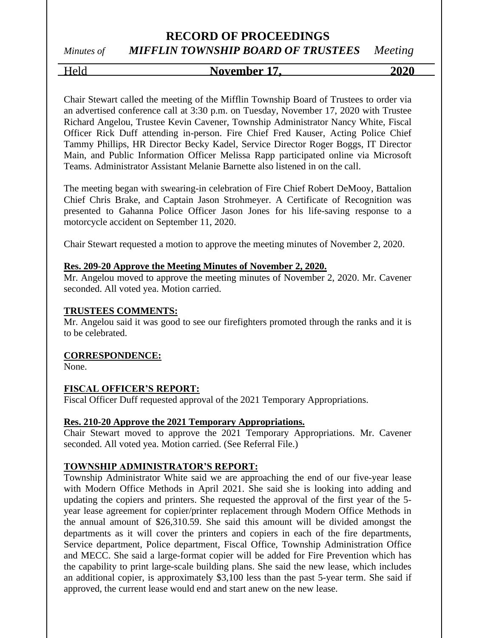# *Minutes of MIFFLIN TOWNSHIP BOARD OF TRUSTEES Meeting*

Held **November 17, 2020**

Chair Stewart called the meeting of the Mifflin Township Board of Trustees to order via an advertised conference call at 3:30 p.m. on Tuesday, November 17, 2020 with Trustee Richard Angelou, Trustee Kevin Cavener, Township Administrator Nancy White, Fiscal Officer Rick Duff attending in-person. Fire Chief Fred Kauser, Acting Police Chief Tammy Phillips, HR Director Becky Kadel, Service Director Roger Boggs, IT Director Main, and Public Information Officer Melissa Rapp participated online via Microsoft Teams. Administrator Assistant Melanie Barnette also listened in on the call.

The meeting began with swearing-in celebration of Fire Chief Robert DeMooy, Battalion Chief Chris Brake, and Captain Jason Strohmeyer. A Certificate of Recognition was presented to Gahanna Police Officer Jason Jones for his life-saving response to a motorcycle accident on September 11, 2020.

Chair Stewart requested a motion to approve the meeting minutes of November 2, 2020.

#### **Res. 209-20 Approve the Meeting Minutes of November 2, 2020.**

Mr. Angelou moved to approve the meeting minutes of November 2, 2020. Mr. Cavener seconded. All voted yea. Motion carried.

#### **TRUSTEES COMMENTS:**

Mr. Angelou said it was good to see our firefighters promoted through the ranks and it is to be celebrated.

#### **CORRESPONDENCE:**

None.

#### **FISCAL OFFICER'S REPORT:**

Fiscal Officer Duff requested approval of the 2021 Temporary Appropriations.

#### **Res. 210-20 Approve the 2021 Temporary Appropriations.**

Chair Stewart moved to approve the 2021 Temporary Appropriations. Mr. Cavener seconded. All voted yea. Motion carried. (See Referral File.)

#### **TOWNSHIP ADMINISTRATOR'S REPORT:**

Township Administrator White said we are approaching the end of our five-year lease with Modern Office Methods in April 2021. She said she is looking into adding and updating the copiers and printers. She requested the approval of the first year of the 5 year lease agreement for copier/printer replacement through Modern Office Methods in the annual amount of \$26,310.59. She said this amount will be divided amongst the departments as it will cover the printers and copiers in each of the fire departments, Service department, Police department, Fiscal Office, Township Administration Office and MECC. She said a large-format copier will be added for Fire Prevention which has the capability to print large-scale building plans. She said the new lease, which includes an additional copier, is approximately \$3,100 less than the past 5-year term. She said if approved, the current lease would end and start anew on the new lease.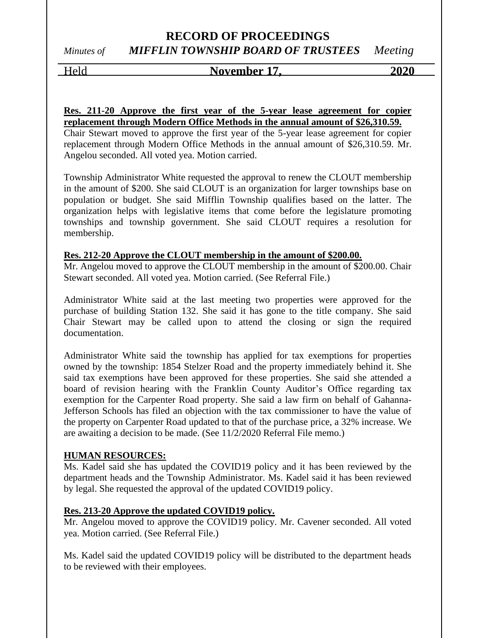*Minutes of MIFFLIN TOWNSHIP BOARD OF TRUSTEES Meeting*

Held **November 17, 2020**

#### **Res. 211-20 Approve the first year of the 5-year lease agreement for copier replacement through Modern Office Methods in the annual amount of \$26,310.59.**

Chair Stewart moved to approve the first year of the 5-year lease agreement for copier replacement through Modern Office Methods in the annual amount of \$26,310.59. Mr. Angelou seconded. All voted yea. Motion carried.

Township Administrator White requested the approval to renew the CLOUT membership in the amount of \$200. She said CLOUT is an organization for larger townships base on population or budget. She said Mifflin Township qualifies based on the latter. The organization helps with legislative items that come before the legislature promoting townships and township government. She said CLOUT requires a resolution for membership.

### **Res. 212-20 Approve the CLOUT membership in the amount of \$200.00.**

Mr. Angelou moved to approve the CLOUT membership in the amount of \$200.00. Chair Stewart seconded. All voted yea. Motion carried. (See Referral File.)

Administrator White said at the last meeting two properties were approved for the purchase of building Station 132. She said it has gone to the title company. She said Chair Stewart may be called upon to attend the closing or sign the required documentation.

Administrator White said the township has applied for tax exemptions for properties owned by the township: 1854 Stelzer Road and the property immediately behind it. She said tax exemptions have been approved for these properties. She said she attended a board of revision hearing with the Franklin County Auditor's Office regarding tax exemption for the Carpenter Road property. She said a law firm on behalf of Gahanna-Jefferson Schools has filed an objection with the tax commissioner to have the value of the property on Carpenter Road updated to that of the purchase price, a 32% increase. We are awaiting a decision to be made. (See 11/2/2020 Referral File memo.)

#### **HUMAN RESOURCES:**

Ms. Kadel said she has updated the COVID19 policy and it has been reviewed by the department heads and the Township Administrator. Ms. Kadel said it has been reviewed by legal. She requested the approval of the updated COVID19 policy.

### **Res. 213-20 Approve the updated COVID19 policy.**

Mr. Angelou moved to approve the COVID19 policy. Mr. Cavener seconded. All voted yea. Motion carried. (See Referral File.)

Ms. Kadel said the updated COVID19 policy will be distributed to the department heads to be reviewed with their employees.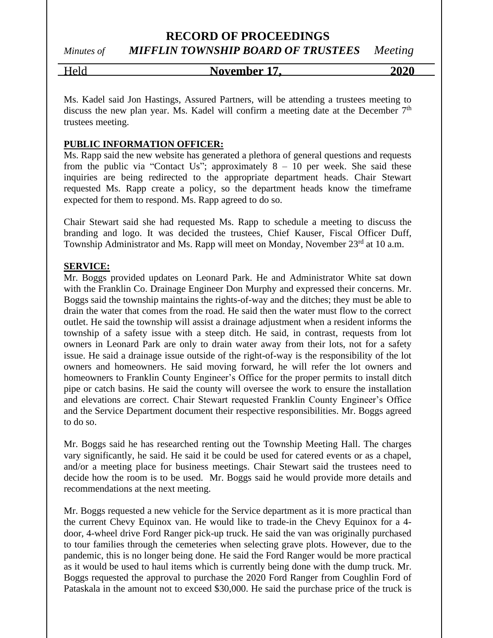# *Minutes of MIFFLIN TOWNSHIP BOARD OF TRUSTEES Meeting*

#### Held **November 17, 2020**

Ms. Kadel said Jon Hastings, Assured Partners, will be attending a trustees meeting to discuss the new plan year. Ms. Kadel will confirm a meeting date at the December 7<sup>th</sup> trustees meeting.

#### **PUBLIC INFORMATION OFFICER:**

Ms. Rapp said the new website has generated a plethora of general questions and requests from the public via "Contact Us"; approximately  $8 - 10$  per week. She said these inquiries are being redirected to the appropriate department heads. Chair Stewart requested Ms. Rapp create a policy, so the department heads know the timeframe expected for them to respond. Ms. Rapp agreed to do so.

Chair Stewart said she had requested Ms. Rapp to schedule a meeting to discuss the branding and logo. It was decided the trustees, Chief Kauser, Fiscal Officer Duff, Township Administrator and Ms. Rapp will meet on Monday, November 23<sup>rd</sup> at 10 a.m.

#### **SERVICE:**

Mr. Boggs provided updates on Leonard Park. He and Administrator White sat down with the Franklin Co. Drainage Engineer Don Murphy and expressed their concerns. Mr. Boggs said the township maintains the rights-of-way and the ditches; they must be able to drain the water that comes from the road. He said then the water must flow to the correct outlet. He said the township will assist a drainage adjustment when a resident informs the township of a safety issue with a steep ditch. He said, in contrast, requests from lot owners in Leonard Park are only to drain water away from their lots, not for a safety issue. He said a drainage issue outside of the right-of-way is the responsibility of the lot owners and homeowners. He said moving forward, he will refer the lot owners and homeowners to Franklin County Engineer's Office for the proper permits to install ditch pipe or catch basins. He said the county will oversee the work to ensure the installation and elevations are correct. Chair Stewart requested Franklin County Engineer's Office and the Service Department document their respective responsibilities. Mr. Boggs agreed to do so.

Mr. Boggs said he has researched renting out the Township Meeting Hall. The charges vary significantly, he said. He said it be could be used for catered events or as a chapel, and/or a meeting place for business meetings. Chair Stewart said the trustees need to decide how the room is to be used. Mr. Boggs said he would provide more details and recommendations at the next meeting.

Mr. Boggs requested a new vehicle for the Service department as it is more practical than the current Chevy Equinox van. He would like to trade-in the Chevy Equinox for a 4 door, 4-wheel drive Ford Ranger pick-up truck. He said the van was originally purchased to tour families through the cemeteries when selecting grave plots. However, due to the pandemic, this is no longer being done. He said the Ford Ranger would be more practical as it would be used to haul items which is currently being done with the dump truck. Mr. Boggs requested the approval to purchase the 2020 Ford Ranger from Coughlin Ford of Pataskala in the amount not to exceed \$30,000. He said the purchase price of the truck is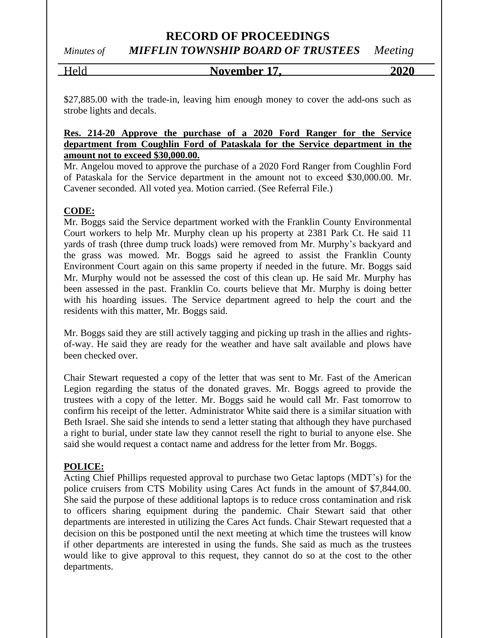### *Minutes of MIFFLIN TOWNSHIP BOARD OF TRUSTEES Meeting*

Held **November 17, 2020**

\$27,885.00 with the trade-in, leaving him enough money to cover the add-ons such as strobe lights and decals.

#### **Res. 214-20 Approve the purchase of a 2020 Ford Ranger for the Service department from Coughlin Ford of Pataskala for the Service department in the amount not to exceed \$30,000.00.**

Mr. Angelou moved to approve the purchase of a 2020 Ford Ranger from Coughlin Ford of Pataskala for the Service department in the amount not to exceed \$30,000.00. Mr. Cavener seconded. All voted yea. Motion carried. (See Referral File.)

### **CODE:**

Mr. Boggs said the Service department worked with the Franklin County Environmental Court workers to help Mr. Murphy clean up his property at 2381 Park Ct. He said 11 yards of trash (three dump truck loads) were removed from Mr. Murphy's backyard and the grass was mowed. Mr. Boggs said he agreed to assist the Franklin County Environment Court again on this same property if needed in the future. Mr. Boggs said Mr. Murphy would not be assessed the cost of this clean up. He said Mr. Murphy has been assessed in the past. Franklin Co. courts believe that Mr. Murphy is doing better with his hoarding issues. The Service department agreed to help the court and the residents with this matter, Mr. Boggs said.

Mr. Boggs said they are still actively tagging and picking up trash in the allies and rightsof-way. He said they are ready for the weather and have salt available and plows have been checked over.

Chair Stewart requested a copy of the letter that was sent to Mr. Fast of the American Legion regarding the status of the donated graves. Mr. Boggs agreed to provide the trustees with a copy of the letter. Mr. Boggs said he would call Mr. Fast tomorrow to confirm his receipt of the letter. Administrator White said there is a similar situation with Beth Israel. She said she intends to send a letter stating that although they have purchased a right to burial, under state law they cannot resell the right to burial to anyone else. She said she would request a contact name and address for the letter from Mr. Boggs.

### **POLICE:**

Acting Chief Phillips requested approval to purchase two Getac laptops (MDT's) for the police cruisers from CTS Mobility using Cares Act funds in the amount of \$7,844.00. She said the purpose of these additional laptops is to reduce cross contamination and risk to officers sharing equipment during the pandemic. Chair Stewart said that other departments are interested in utilizing the Cares Act funds. Chair Stewart requested that a decision on this be postponed until the next meeting at which time the trustees will know if other departments are interested in using the funds. She said as much as the trustees would like to give approval to this request, they cannot do so at the cost to the other departments.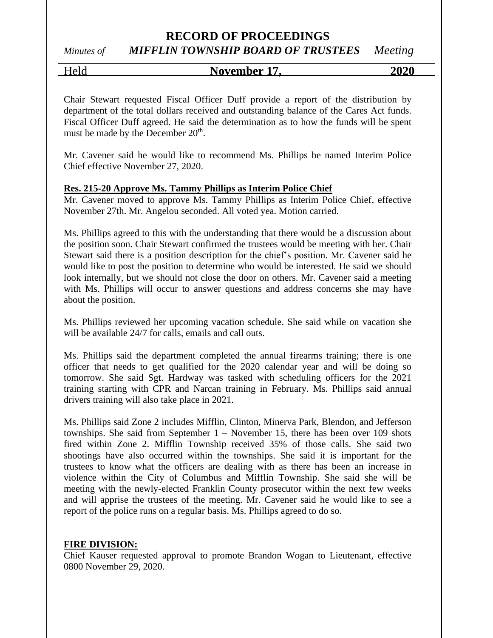# *Minutes of MIFFLIN TOWNSHIP BOARD OF TRUSTEES Meeting*

Held **November 17, 2020**

Chair Stewart requested Fiscal Officer Duff provide a report of the distribution by department of the total dollars received and outstanding balance of the Cares Act funds. Fiscal Officer Duff agreed. He said the determination as to how the funds will be spent must be made by the December 20<sup>th</sup>.

Mr. Cavener said he would like to recommend Ms. Phillips be named Interim Police Chief effective November 27, 2020.

#### **Res. 215-20 Approve Ms. Tammy Phillips as Interim Police Chief**

Mr. Cavener moved to approve Ms. Tammy Phillips as Interim Police Chief, effective November 27th. Mr. Angelou seconded. All voted yea. Motion carried.

Ms. Phillips agreed to this with the understanding that there would be a discussion about the position soon. Chair Stewart confirmed the trustees would be meeting with her. Chair Stewart said there is a position description for the chief's position. Mr. Cavener said he would like to post the position to determine who would be interested. He said we should look internally, but we should not close the door on others. Mr. Cavener said a meeting with Ms. Phillips will occur to answer questions and address concerns she may have about the position.

Ms. Phillips reviewed her upcoming vacation schedule. She said while on vacation she will be available 24/7 for calls, emails and call outs.

Ms. Phillips said the department completed the annual firearms training; there is one officer that needs to get qualified for the 2020 calendar year and will be doing so tomorrow. She said Sgt. Hardway was tasked with scheduling officers for the 2021 training starting with CPR and Narcan training in February. Ms. Phillips said annual drivers training will also take place in 2021.

Ms. Phillips said Zone 2 includes Mifflin, Clinton, Minerva Park, Blendon, and Jefferson townships. She said from September 1 – November 15, there has been over 109 shots fired within Zone 2. Mifflin Township received 35% of those calls. She said two shootings have also occurred within the townships. She said it is important for the trustees to know what the officers are dealing with as there has been an increase in violence within the City of Columbus and Mifflin Township. She said she will be meeting with the newly-elected Franklin County prosecutor within the next few weeks and will apprise the trustees of the meeting. Mr. Cavener said he would like to see a report of the police runs on a regular basis. Ms. Phillips agreed to do so.

#### **FIRE DIVISION:**

Chief Kauser requested approval to promote Brandon Wogan to Lieutenant, effective 0800 November 29, 2020.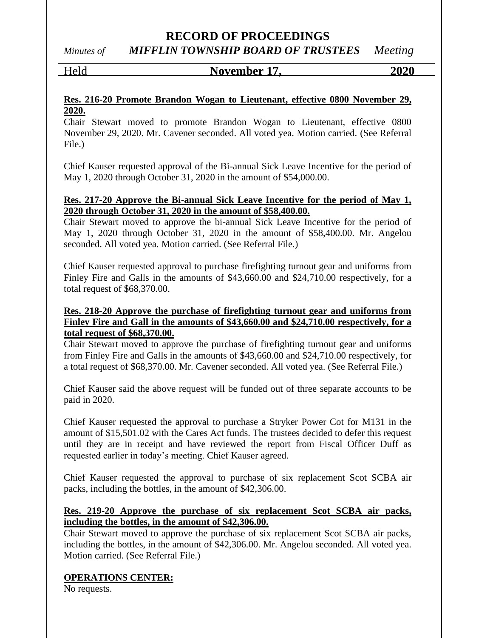*Minutes of MIFFLIN TOWNSHIP BOARD OF TRUSTEES Meeting*

Held **November 17, 2020**

#### **Res. 216-20 Promote Brandon Wogan to Lieutenant, effective 0800 November 29, 2020.**

Chair Stewart moved to promote Brandon Wogan to Lieutenant, effective 0800 November 29, 2020. Mr. Cavener seconded. All voted yea. Motion carried. (See Referral File.)

Chief Kauser requested approval of the Bi-annual Sick Leave Incentive for the period of May 1, 2020 through October 31, 2020 in the amount of \$54,000.00.

#### **Res. 217-20 Approve the Bi-annual Sick Leave Incentive for the period of May 1, 2020 through October 31, 2020 in the amount of \$58,400.00.**

Chair Stewart moved to approve the bi-annual Sick Leave Incentive for the period of May 1, 2020 through October 31, 2020 in the amount of \$58,400.00. Mr. Angelou seconded. All voted yea. Motion carried. (See Referral File.)

Chief Kauser requested approval to purchase firefighting turnout gear and uniforms from Finley Fire and Galls in the amounts of \$43,660.00 and \$24,710.00 respectively, for a total request of \$68,370.00.

#### **Res. 218-20 Approve the purchase of firefighting turnout gear and uniforms from Finley Fire and Gall in the amounts of \$43,660.00 and \$24,710.00 respectively, for a total request of \$68,370.00.**

Chair Stewart moved to approve the purchase of firefighting turnout gear and uniforms from Finley Fire and Galls in the amounts of \$43,660.00 and \$24,710.00 respectively, for a total request of \$68,370.00. Mr. Cavener seconded. All voted yea. (See Referral File.)

Chief Kauser said the above request will be funded out of three separate accounts to be paid in 2020.

Chief Kauser requested the approval to purchase a Stryker Power Cot for M131 in the amount of \$15,501.02 with the Cares Act funds. The trustees decided to defer this request until they are in receipt and have reviewed the report from Fiscal Officer Duff as requested earlier in today's meeting. Chief Kauser agreed.

Chief Kauser requested the approval to purchase of six replacement Scot SCBA air packs, including the bottles, in the amount of \$42,306.00.

#### **Res. 219-20 Approve the purchase of six replacement Scot SCBA air packs, including the bottles, in the amount of \$42,306.00.**

Chair Stewart moved to approve the purchase of six replacement Scot SCBA air packs, including the bottles, in the amount of \$42,306.00. Mr. Angelou seconded. All voted yea. Motion carried. (See Referral File.)

### **OPERATIONS CENTER:**

No requests.